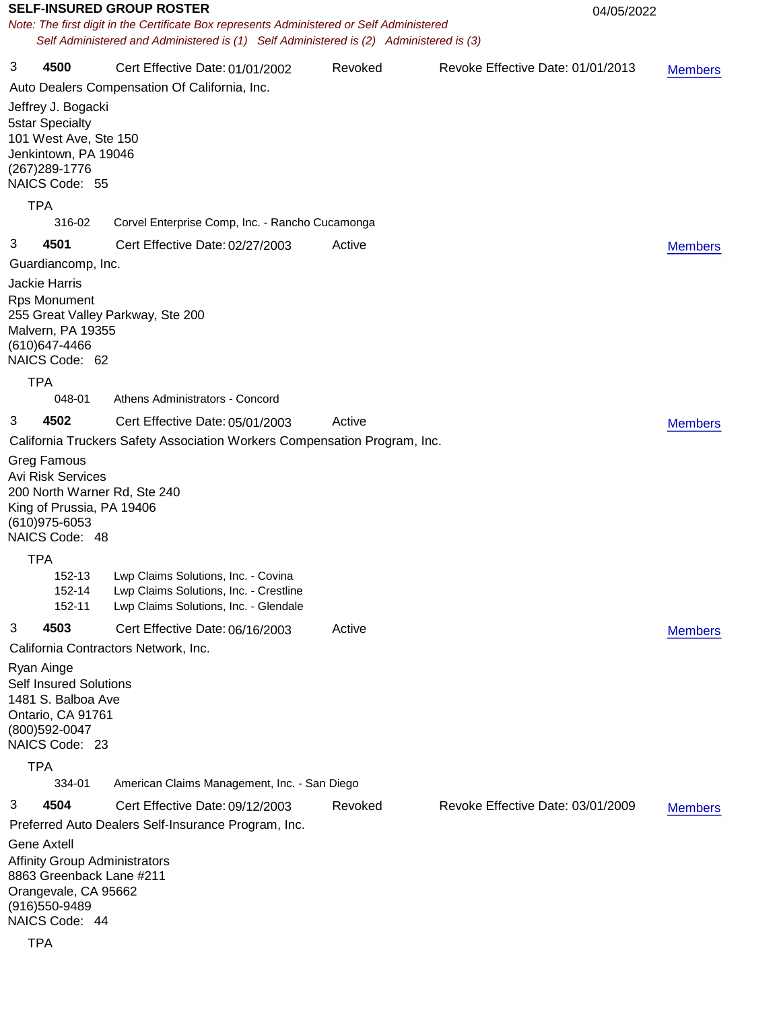| <b>SELF-INSURED GROUP ROSTER</b>                                                                                                                   |                                                                                                                                                                                     |                                                                                                                        | 04/05/2022 |                                   |                |
|----------------------------------------------------------------------------------------------------------------------------------------------------|-------------------------------------------------------------------------------------------------------------------------------------------------------------------------------------|------------------------------------------------------------------------------------------------------------------------|------------|-----------------------------------|----------------|
|                                                                                                                                                    | Note: The first digit in the Certificate Box represents Administered or Self Administered<br>Self Administered and Administered is (1) Self Administered is (2) Administered is (3) |                                                                                                                        |            |                                   |                |
|                                                                                                                                                    |                                                                                                                                                                                     |                                                                                                                        |            |                                   |                |
| 3                                                                                                                                                  | 4500                                                                                                                                                                                | Cert Effective Date: 01/01/2002                                                                                        | Revoked    | Revoke Effective Date: 01/01/2013 | <b>Members</b> |
|                                                                                                                                                    |                                                                                                                                                                                     | Auto Dealers Compensation Of California, Inc.                                                                          |            |                                   |                |
|                                                                                                                                                    | Jeffrey J. Bogacki<br><b>5star Specialty</b><br>101 West Ave, Ste 150<br>Jenkintown, PA 19046<br>(267) 289-1776<br>NAICS Code: 55                                                   |                                                                                                                        |            |                                   |                |
|                                                                                                                                                    | <b>TPA</b>                                                                                                                                                                          |                                                                                                                        |            |                                   |                |
|                                                                                                                                                    | 316-02                                                                                                                                                                              | Corvel Enterprise Comp, Inc. - Rancho Cucamonga                                                                        |            |                                   |                |
| 3                                                                                                                                                  | 4501                                                                                                                                                                                | Cert Effective Date: 02/27/2003                                                                                        | Active     |                                   | <b>Members</b> |
|                                                                                                                                                    | Guardiancomp, Inc.                                                                                                                                                                  |                                                                                                                        |            |                                   |                |
|                                                                                                                                                    | <b>Jackie Harris</b><br><b>Rps Monument</b><br>255 Great Valley Parkway, Ste 200<br>Malvern, PA 19355<br>(610) 647-4466<br>NAICS Code: 62                                           |                                                                                                                        |            |                                   |                |
|                                                                                                                                                    | <b>TPA</b>                                                                                                                                                                          |                                                                                                                        |            |                                   |                |
|                                                                                                                                                    | 048-01                                                                                                                                                                              | Athens Administrators - Concord                                                                                        |            |                                   |                |
| 3                                                                                                                                                  | 4502                                                                                                                                                                                | Cert Effective Date: 05/01/2003                                                                                        | Active     |                                   | <b>Members</b> |
|                                                                                                                                                    |                                                                                                                                                                                     | California Truckers Safety Association Workers Compensation Program, Inc.                                              |            |                                   |                |
|                                                                                                                                                    | <b>Greg Famous</b><br><b>Avi Risk Services</b><br>200 North Warner Rd, Ste 240<br>King of Prussia, PA 19406<br>(610) 975-6053<br>NAICS Code: 48                                     |                                                                                                                        |            |                                   |                |
|                                                                                                                                                    | <b>TPA</b>                                                                                                                                                                          |                                                                                                                        |            |                                   |                |
|                                                                                                                                                    | 152-13<br>152-14<br>152-11                                                                                                                                                          | Lwp Claims Solutions, Inc. - Covina<br>Lwp Claims Solutions, Inc. - Crestline<br>Lwp Claims Solutions, Inc. - Glendale |            |                                   |                |
| 3                                                                                                                                                  | 4503                                                                                                                                                                                | Cert Effective Date: 06/16/2003                                                                                        | Active     |                                   | <b>Members</b> |
|                                                                                                                                                    |                                                                                                                                                                                     | California Contractors Network, Inc.                                                                                   |            |                                   |                |
|                                                                                                                                                    | Ryan Ainge<br><b>Self Insured Solutions</b><br>1481 S. Balboa Ave<br>Ontario, CA 91761<br>(800) 592-0047<br>NAICS Code: 23                                                          |                                                                                                                        |            |                                   |                |
|                                                                                                                                                    | <b>TPA</b>                                                                                                                                                                          |                                                                                                                        |            |                                   |                |
|                                                                                                                                                    | 334-01                                                                                                                                                                              | American Claims Management, Inc. - San Diego                                                                           |            |                                   |                |
| 3                                                                                                                                                  | 4504                                                                                                                                                                                | Cert Effective Date: 09/12/2003                                                                                        | Revoked    | Revoke Effective Date: 03/01/2009 | <b>Members</b> |
| Preferred Auto Dealers Self-Insurance Program, Inc.                                                                                                |                                                                                                                                                                                     |                                                                                                                        |            |                                   |                |
| <b>Gene Axtell</b><br><b>Affinity Group Administrators</b><br>8863 Greenback Lane #211<br>Orangevale, CA 95662<br>(916) 550-9489<br>NAICS Code: 44 |                                                                                                                                                                                     |                                                                                                                        |            |                                   |                |
|                                                                                                                                                    | <b>TPA</b>                                                                                                                                                                          |                                                                                                                        |            |                                   |                |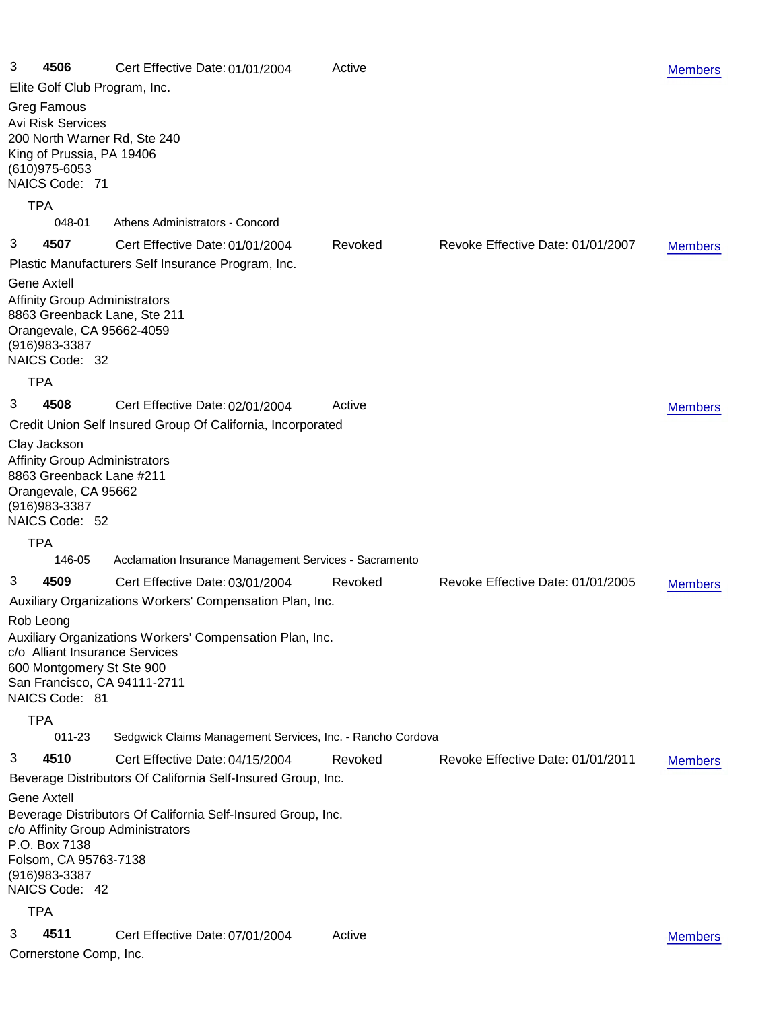| 3<br>4506                                                                                                                                                                                                |        | Cert Effective Date: 01/01/2004                                                    | Active  |                                   | <b>Members</b> |
|----------------------------------------------------------------------------------------------------------------------------------------------------------------------------------------------------------|--------|------------------------------------------------------------------------------------|---------|-----------------------------------|----------------|
|                                                                                                                                                                                                          |        | Elite Golf Club Program, Inc.                                                      |         |                                   |                |
| <b>Greg Famous</b><br><b>Avi Risk Services</b><br>King of Prussia, PA 19406<br>(610) 975-6053<br>NAICS Code: 71                                                                                          |        | 200 North Warner Rd, Ste 240                                                       |         |                                   |                |
| <b>TPA</b>                                                                                                                                                                                               |        |                                                                                    |         |                                   |                |
|                                                                                                                                                                                                          | 048-01 | Athens Administrators - Concord                                                    |         |                                   |                |
| 3<br>4507                                                                                                                                                                                                |        | Cert Effective Date: 01/01/2004                                                    | Revoked | Revoke Effective Date: 01/01/2007 | <b>Members</b> |
| Gene Axtell<br><b>Affinity Group Administrators</b><br>Orangevale, CA 95662-4059<br>$(916)983 - 3387$<br>NAICS Code: 32                                                                                  |        | Plastic Manufacturers Self Insurance Program, Inc.<br>8863 Greenback Lane, Ste 211 |         |                                   |                |
| <b>TPA</b>                                                                                                                                                                                               |        |                                                                                    |         |                                   |                |
| 3<br>4508                                                                                                                                                                                                |        | Cert Effective Date: 02/01/2004                                                    | Active  |                                   | <b>Members</b> |
|                                                                                                                                                                                                          |        | Credit Union Self Insured Group Of California, Incorporated                        |         |                                   |                |
| Clay Jackson<br><b>Affinity Group Administrators</b><br>8863 Greenback Lane #211<br>Orangevale, CA 95662<br>(916) 983-3387<br>NAICS Code: 52                                                             |        |                                                                                    |         |                                   |                |
| <b>TPA</b>                                                                                                                                                                                               |        |                                                                                    |         |                                   |                |
|                                                                                                                                                                                                          | 146-05 | Acclamation Insurance Management Services - Sacramento                             |         |                                   |                |
| 3<br>4509                                                                                                                                                                                                |        | Cert Effective Date: 03/01/2004                                                    | Revoked | Revoke Effective Date: 01/01/2005 | <b>Members</b> |
|                                                                                                                                                                                                          |        | Auxiliary Organizations Workers' Compensation Plan, Inc.                           |         |                                   |                |
| Rob Leong<br>Auxiliary Organizations Workers' Compensation Plan, Inc.<br>c/o Alliant Insurance Services<br>600 Montgomery St Ste 900<br>San Francisco, CA 94111-2711<br>NAICS Code: 81                   |        |                                                                                    |         |                                   |                |
| <b>TPA</b>                                                                                                                                                                                               |        |                                                                                    |         |                                   |                |
|                                                                                                                                                                                                          | 011-23 | Sedgwick Claims Management Services, Inc. - Rancho Cordova                         |         |                                   |                |
| 3<br>4510                                                                                                                                                                                                |        | Cert Effective Date: 04/15/2004                                                    | Revoked | Revoke Effective Date: 01/01/2011 | <b>Members</b> |
|                                                                                                                                                                                                          |        | Beverage Distributors Of California Self-Insured Group, Inc.                       |         |                                   |                |
| <b>Gene Axtell</b><br>Beverage Distributors Of California Self-Insured Group, Inc.<br>c/o Affinity Group Administrators<br>P.O. Box 7138<br>Folsom, CA 95763-7138<br>$(916)983 - 3387$<br>NAICS Code: 42 |        |                                                                                    |         |                                   |                |
| <b>TPA</b>                                                                                                                                                                                               |        |                                                                                    |         |                                   |                |
| 3<br>4511                                                                                                                                                                                                |        | Cert Effective Date: 07/01/2004                                                    | Active  |                                   | <b>Members</b> |
| Cornerstone Comp, Inc.                                                                                                                                                                                   |        |                                                                                    |         |                                   |                |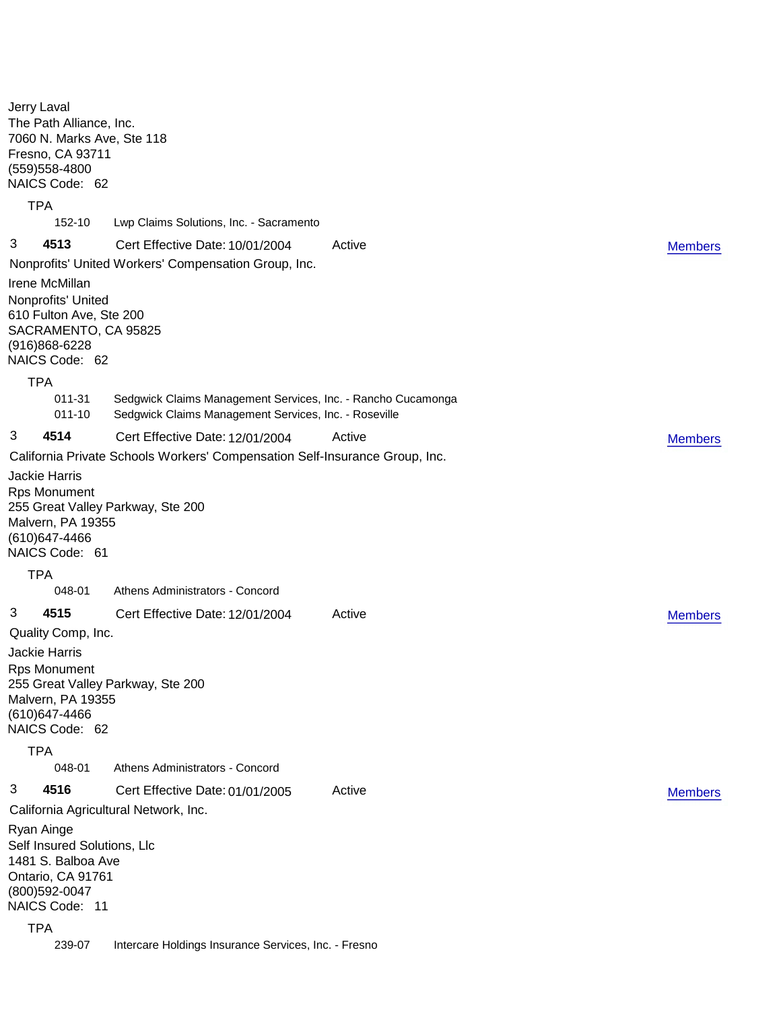Jerry Laval The Path Alliance, Inc. 7060 N. Marks Ave, Ste 118 Fresno, CA 93711 (559)558-4800 NAICS Code: 62 TPA 152-10 Lwp Claims Solutions, Inc. - Sacramento 3 **4513** Cert Effective Date: 10/01/2004 Active Nonprofits' United Workers' Compensation Group, Inc. Irene McMillan Nonprofits' United 610 Fulton Ave, Ste 200 SACRAMENTO, CA 95825 (916)868-6228 NAICS Code: 62 TPA 011-31 Sedgwick Claims Management Services, Inc. - Rancho Cucamonga 011-10 Sedgwick Claims Management Services, Inc. - Roseville [Members](Group4513_Members.pdf) 3 **4514** Cert Effective Date: 12/01/2004 Active California Private Schools Workers' Compensation Self-Insurance Group, Inc. Jackie Harris Rps Monument 255 Great Valley Parkway, Ste 200 Malvern, PA 19355 (610)647-4466 NAICS Code: 61 **TPA** 048-01 Athens Administrators - Concord **[Members](Group4514_Members.pdf)** 3 **4515** Cert Effective Date: 12/01/2004 Active Quality Comp, Inc. Jackie Harris Rps Monument 255 Great Valley Parkway, Ste 200 Malvern, PA 19355 (610)647-4466 NAICS Code: 62 TPA 048-01 Athens Administrators - Concord **[Members](Group4515_Members.pdf)** 3 **4516** Cert Effective Date: 01/01/2005 Active California Agricultural Network, Inc. Ryan Ainge Self Insured Solutions, Llc 1481 S. Balboa Ave Ontario, CA 91761 (800)592-0047 NAICS Code: 11 **TPA** 239-07 Intercare Holdings Insurance Services, Inc. - Fresno [Members](Group4516_Members.pdf)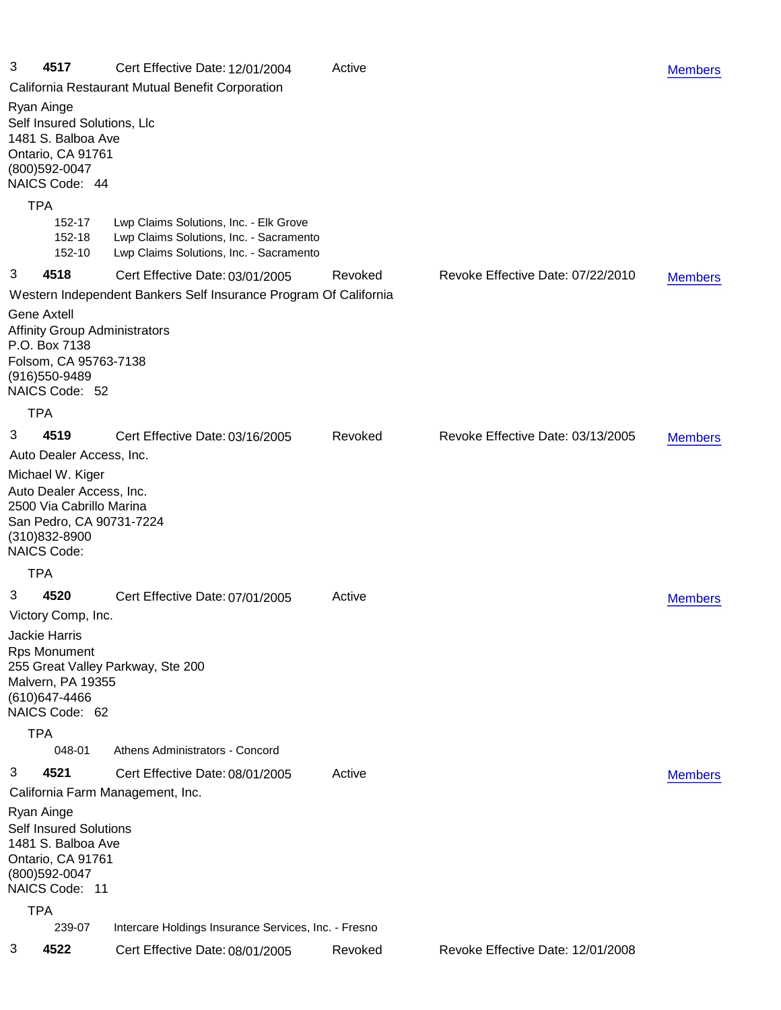| 3                                                                                                                                  | 4517                                                                                                                                        | Cert Effective Date: 12/01/2004<br>Active                                                                                    |         |                                   | <b>Members</b> |  |
|------------------------------------------------------------------------------------------------------------------------------------|---------------------------------------------------------------------------------------------------------------------------------------------|------------------------------------------------------------------------------------------------------------------------------|---------|-----------------------------------|----------------|--|
|                                                                                                                                    | California Restaurant Mutual Benefit Corporation                                                                                            |                                                                                                                              |         |                                   |                |  |
|                                                                                                                                    | Ryan Ainge<br>Self Insured Solutions, Llc<br>1481 S. Balboa Ave<br>Ontario, CA 91761<br>(800) 592-0047<br>NAICS Code: 44                    |                                                                                                                              |         |                                   |                |  |
| <b>TPA</b>                                                                                                                         |                                                                                                                                             |                                                                                                                              |         |                                   |                |  |
|                                                                                                                                    | 152-17<br>152-18<br>152-10                                                                                                                  | Lwp Claims Solutions, Inc. - Elk Grove<br>Lwp Claims Solutions, Inc. - Sacramento<br>Lwp Claims Solutions, Inc. - Sacramento |         |                                   |                |  |
| 3                                                                                                                                  | 4518                                                                                                                                        | Cert Effective Date: 03/01/2005                                                                                              | Revoked | Revoke Effective Date: 07/22/2010 | <b>Members</b> |  |
|                                                                                                                                    |                                                                                                                                             | Western Independent Bankers Self Insurance Program Of California                                                             |         |                                   |                |  |
|                                                                                                                                    | <b>Gene Axtell</b><br><b>Affinity Group Administrators</b><br>P.O. Box 7138<br>Folsom, CA 95763-7138<br>(916) 550-9489<br>NAICS Code: 52    |                                                                                                                              |         |                                   |                |  |
| TPA                                                                                                                                |                                                                                                                                             |                                                                                                                              |         |                                   |                |  |
| 3                                                                                                                                  | 4519                                                                                                                                        | Cert Effective Date: 03/16/2005                                                                                              | Revoked | Revoke Effective Date: 03/13/2005 | <b>Members</b> |  |
|                                                                                                                                    | Auto Dealer Access, Inc.                                                                                                                    |                                                                                                                              |         |                                   |                |  |
|                                                                                                                                    | Michael W. Kiger<br>Auto Dealer Access, Inc.<br>2500 Via Cabrillo Marina<br>San Pedro, CA 90731-7224<br>(310)832-8900<br><b>NAICS Code:</b> |                                                                                                                              |         |                                   |                |  |
| TPA                                                                                                                                |                                                                                                                                             |                                                                                                                              |         |                                   |                |  |
| 3                                                                                                                                  | 4520                                                                                                                                        | Cert Effective Date: 07/01/2005                                                                                              | Active  |                                   | <b>Members</b> |  |
|                                                                                                                                    | Victory Comp, Inc.                                                                                                                          |                                                                                                                              |         |                                   |                |  |
| Jackie Harris<br><b>Rps Monument</b><br>255 Great Valley Parkway, Ste 200<br>Malvern, PA 19355<br>(610) 647-4466<br>NAICS Code: 62 |                                                                                                                                             |                                                                                                                              |         |                                   |                |  |
| <b>TPA</b>                                                                                                                         |                                                                                                                                             |                                                                                                                              |         |                                   |                |  |
|                                                                                                                                    | 048-01                                                                                                                                      | Athens Administrators - Concord                                                                                              |         |                                   |                |  |
| 3                                                                                                                                  | 4521                                                                                                                                        | Cert Effective Date: 08/01/2005                                                                                              | Active  |                                   | <b>Members</b> |  |
| California Farm Management, Inc.                                                                                                   |                                                                                                                                             |                                                                                                                              |         |                                   |                |  |
| Ryan Ainge                                                                                                                         | <b>Self Insured Solutions</b><br>1481 S. Balboa Ave<br>Ontario, CA 91761<br>(800) 592-0047<br>NAICS Code: 11                                |                                                                                                                              |         |                                   |                |  |
|                                                                                                                                    | <b>TPA</b>                                                                                                                                  |                                                                                                                              |         |                                   |                |  |
|                                                                                                                                    | 239-07                                                                                                                                      | Intercare Holdings Insurance Services, Inc. - Fresno                                                                         |         |                                   |                |  |
| 3                                                                                                                                  | 4522                                                                                                                                        | Cert Effective Date: 08/01/2005                                                                                              | Revoked | Revoke Effective Date: 12/01/2008 |                |  |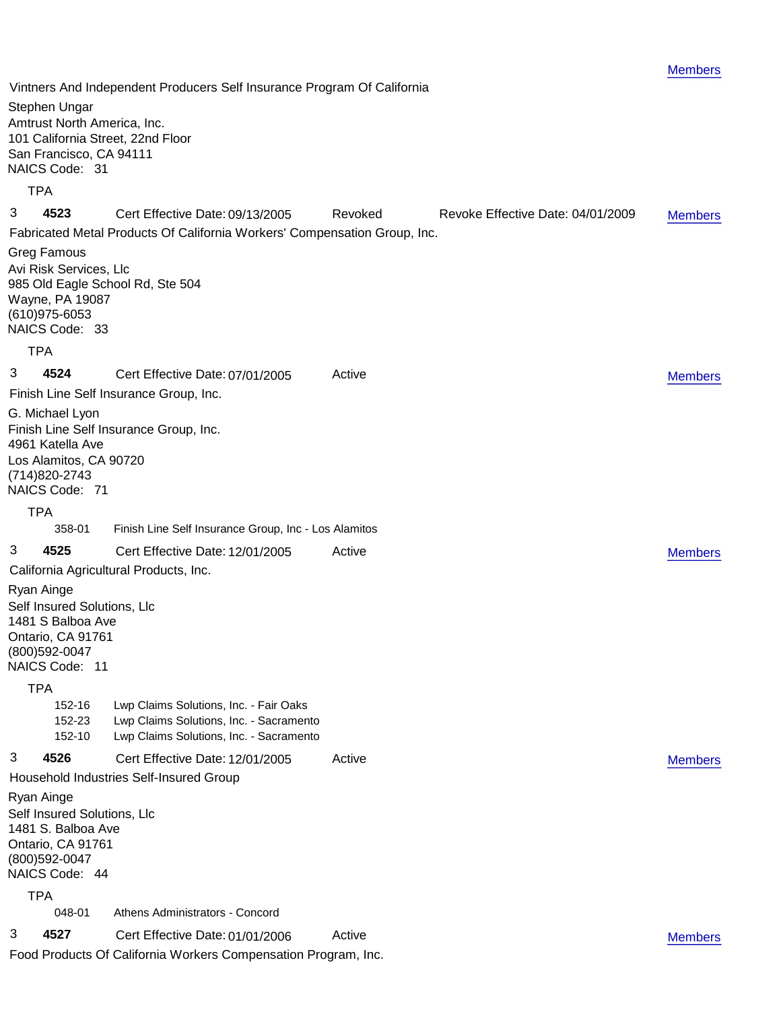Vintners And Independent Producers Self Insurance Program Of California Stephen Ungar Amtrust North America, Inc. 101 California Street, 22nd Floor San Francisco, CA 94111 NAICS Code: 31 TPA 3 **4523** Cert Effective Date: 09/13/2005 Revoked Revoke Effective Date: 04/01/2009 Fabricated Metal Products Of California Workers' Compensation Group, Inc. Greg Famous Avi Risk Services, Llc 985 Old Eagle School Rd, Ste 504 Wayne, PA 19087 (610)975-6053 NAICS Code: 33 **TPA** [Members](Group4523_Members.pdf) 3 **4524** Cert Effective Date: 07/01/2005 Active Finish Line Self Insurance Group, Inc. G. Michael Lyon Finish Line Self Insurance Group, Inc. 4961 Katella Ave Los Alamitos, CA 90720 (714)820-2743 NAICS Code: 71 **TPA** 358-01 Finish Line Self Insurance Group, Inc - Los Alamitos **[Members](Group4524_Members.pdf)** 3 **4525** Cert Effective Date: 12/01/2005 Active California Agricultural Products, Inc. Ryan Ainge Self Insured Solutions, Llc 1481 S Balboa Ave Ontario, CA 91761 (800)592-0047 NAICS Code: 11 TPA 152-16 Lwp Claims Solutions, Inc. - Fair Oaks 152-23 Lwp Claims Solutions, Inc. - Sacramento 152-10 Lwp Claims Solutions, Inc. - Sacramento [Members](Group4525_Members.pdf) 3 **4526** Cert Effective Date: 12/01/2005 Active Household Industries Self-Insured Group Ryan Ainge Self Insured Solutions, Llc 1481 S. Balboa Ave Ontario, CA 91761 (800)592-0047 NAICS Code: 44 TPA 048-01 Athens Administrators - Concord [Members](Group4526_Members.pdf) 3 **4527** Cert Effective Date: 01/01/2006 Active Food Products Of California Workers Compensation Program, Inc. [Members](Group4527_Members.pdf)

[Members](Group4522_Members.pdf)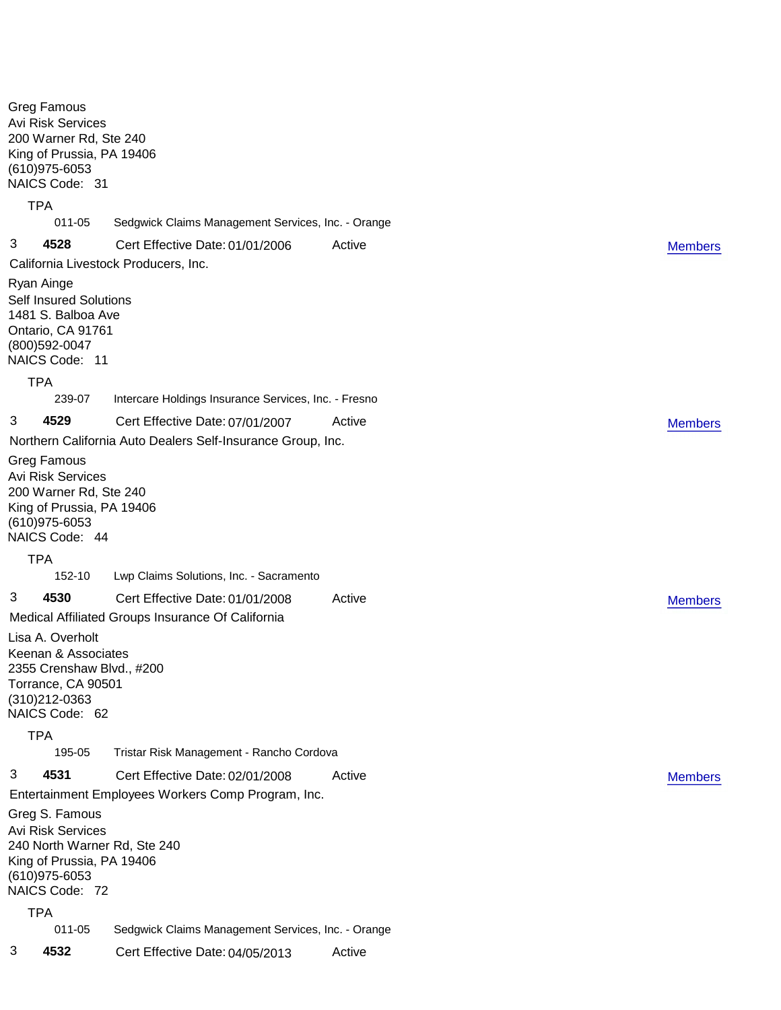Greg Famous Avi Risk Services 200 Warner Rd, Ste 240 King of Prussia, PA 19406 (610)975-6053 NAICS Code: 31 TPA 011-05 Sedgwick Claims Management Services, Inc. - Orange 3 **4528** Cert Effective Date: 01/01/2006 Active California Livestock Producers, Inc. Ryan Ainge Self Insured Solutions 1481 S. Balboa Ave Ontario, CA 91761 (800)592-0047 NAICS Code: 11 TPA 239-07 Intercare Holdings Insurance Services, Inc. - Fresno [Members](Group4528_Members.pdf) 3 **4529** Cert Effective Date: 07/01/2007 Active Northern California Auto Dealers Self-Insurance Group, Inc. Greg Famous Avi Risk Services 200 Warner Rd, Ste 240 King of Prussia, PA 19406 (610)975-6053 NAICS Code: 44 TPA 152-10 Lwp Claims Solutions, Inc. - Sacramento **[Members](Group4529_Members.pdf)** 3 **4530** Cert Effective Date: 01/01/2008 Active Medical Affiliated Groups Insurance Of California Lisa A. Overholt Keenan & Associates 2355 Crenshaw Blvd., #200 Torrance, CA 90501 (310)212-0363 NAICS Code: 62 **TPA** 195-05 Tristar Risk Management - Rancho Cordova **[Members](Group4530_Members.pdf)** 3 **4531** Cert Effective Date: 02/01/2008 Active Entertainment Employees Workers Comp Program, Inc. Greg S. Famous Avi Risk Services 240 North Warner Rd, Ste 240 King of Prussia, PA 19406 (610)975-6053 NAICS Code: 72 **TPA** 011-05 Sedgwick Claims Management Services, Inc. - Orange [Members](Group4531_Members.pdf) 3 **4532** Cert Effective Date: 04/05/2013 Active